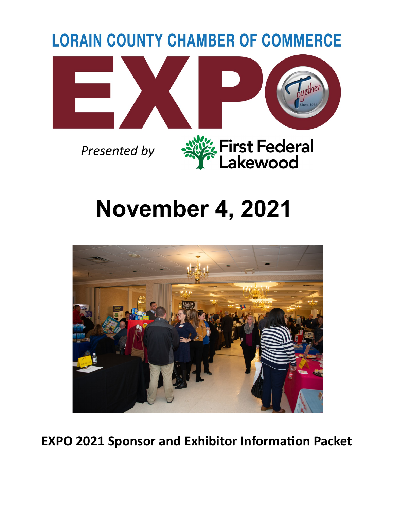

# **November 4, 2021**



**EXPO 2021 Sponsor and Exhibitor Information Packet**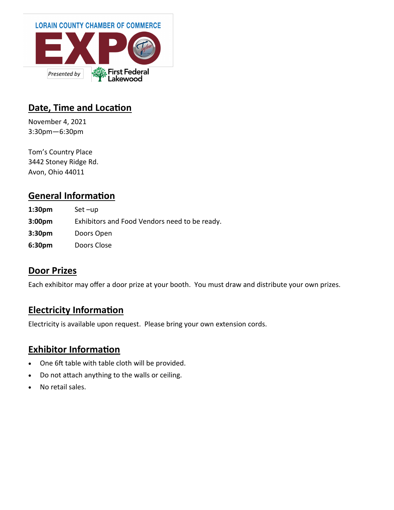

#### **Date, Time and Location**

November 4, 2021 3:30pm—6:30pm

Tom's Country Place 3442 Stoney Ridge Rd. Avon, Ohio 44011

## **General Information**

**1:30pm** Set –up **3:00pm** Exhibitors and Food Vendors need to be ready. **3:30pm** Doors Open **6:30pm** Doors Close

#### **Door Prizes**

Each exhibitor may offer a door prize at your booth. You must draw and distribute your own prizes.

## **Electricity Information**

Electricity is available upon request. Please bring your own extension cords.

## **Exhibitor Information**

- One 6ft table with table cloth will be provided.
- Do not attach anything to the walls or ceiling.
- No retail sales.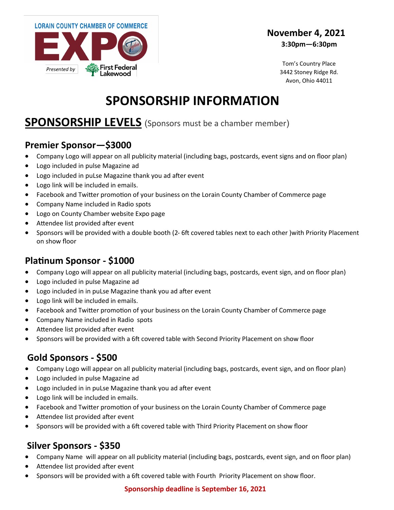

#### **November 4, 2021 3:30pm—6:30pm**

Tom's Country Place 3442 Stoney Ridge Rd. Avon, Ohio 44011

# **SPONSORSHIP INFORMATION**

## **SPONSORSHIP LEVELS** (Sponsors must be a chamber member)

#### **Premier Sponsor—\$3000**

- Company Logo will appear on all publicity material (including bags, postcards, event signs and on floor plan)
- Logo included in pulse Magazine ad
- Logo included in puLse Magazine thank you ad after event
- Logo link will be included in emails.
- Facebook and Twitter promotion of your business on the Lorain County Chamber of Commerce page
- Company Name included in Radio spots
- Logo on County Chamber website Expo page
- Attendee list provided after event
- Sponsors will be provided with a double booth (2- 6ft covered tables next to each other )with Priority Placement on show floor

#### **Platinum Sponsor - \$1000**

- Company Logo will appear on all publicity material (including bags, postcards, event sign, and on floor plan)
- Logo included in pulse Magazine ad
- Logo included in in puLse Magazine thank you ad after event
- Logo link will be included in emails.
- Facebook and Twitter promotion of your business on the Lorain County Chamber of Commerce page
- Company Name included in Radio spots
- Attendee list provided after event
- Sponsors will be provided with a 6ft covered table with Second Priority Placement on show floor

## **Gold Sponsors - \$500**

- Company Logo will appear on all publicity material (including bags, postcards, event sign, and on floor plan)
- Logo included in pulse Magazine ad
- Logo included in in puLse Magazine thank you ad after event
- Logo link will be included in emails.
- Facebook and Twitter promotion of your business on the Lorain County Chamber of Commerce page
- Attendee list provided after event
- Sponsors will be provided with a 6ft covered table with Third Priority Placement on show floor

#### **Silver Sponsors - \$350**

- Company Name will appear on all publicity material (including bags, postcards, event sign, and on floor plan)
- Attendee list provided after event
- Sponsors will be provided with a 6ft covered table with Fourth Priority Placement on show floor.

#### **Sponsorship deadline is September 16, 2021**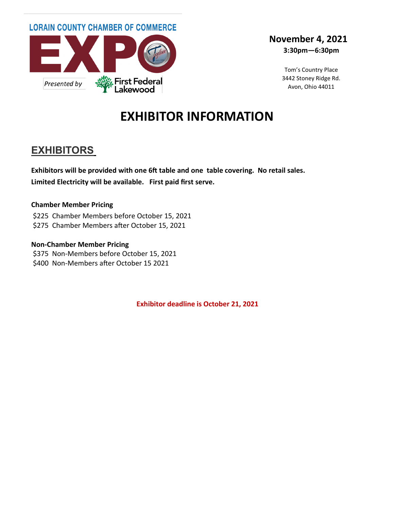

#### **November 4, 2021 3:30pm—6:30pm**

Tom's Country Place 3442 Stoney Ridge Rd. Avon, Ohio 44011

# **EXHIBITOR INFORMATION**

## **EXHIBITORS**

**Exhibitors will be provided with one 6ft table and one table covering. No retail sales. Limited Electricity will be available. First paid first serve.**

#### **Chamber Member Pricing**

\$225 Chamber Members before October 15, 2021 \$275 Chamber Members after October 15, 2021

#### **Non-Chamber Member Pricing**

\$375 Non-Members before October 15, 2021 \$400 Non-Members after October 15 2021

**Exhibitor deadline is October 21, 2021**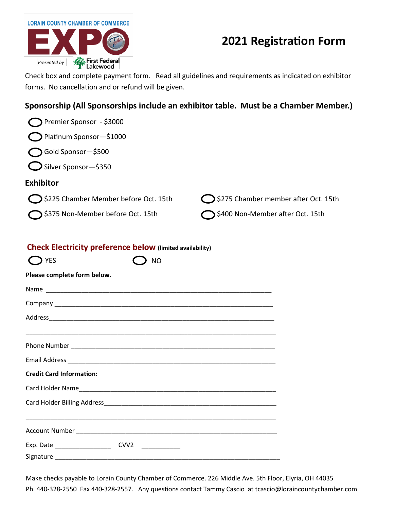## **2021 Registration Form**

Check box and complete payment form. Read all guidelines and requirements as indicated on exhibitor forms. No cancellation and or refund will be given.

#### **Sponsorship (All Sponsorships include an exhibitor table. Must be a Chamber Member.)**

| Premier Sponsor - \$3000                                                                      |                                             |
|-----------------------------------------------------------------------------------------------|---------------------------------------------|
| Platinum Sponsor-\$1000                                                                       |                                             |
| Gold Sponsor-\$500                                                                            |                                             |
| $\bigcirc$ Silver Sponsor-\$350                                                               |                                             |
| <b>Exhibitor</b>                                                                              |                                             |
| S225 Chamber Member before Oct. 15th                                                          | S275 Chamber member after Oct. 15th         |
| S375 Non-Member before Oct. 15th                                                              | $\bigcirc$ \$400 Non-Member after Oct. 15th |
| <b>Check Electricity preference below (limited availability)</b><br><b>T</b> YES<br><b>NO</b> |                                             |
| Please complete form below.                                                                   |                                             |
|                                                                                               |                                             |
|                                                                                               |                                             |
|                                                                                               |                                             |
|                                                                                               |                                             |
|                                                                                               |                                             |
| <b>Credit Card Information:</b>                                                               |                                             |
|                                                                                               |                                             |
| Card Holder Billing Address_                                                                  |                                             |
| Account Number <b>Account Number Account Number</b>                                           |                                             |
|                                                                                               |                                             |
|                                                                                               |                                             |

Make checks payable to Lorain County Chamber of Commerce. 226 Middle Ave. 5th Floor, Elyria, OH 44035 Ph. 440-328-2550 Fax 440-328-2557. Any questions contact Tammy Cascio at tcascio@loraincountychamber.com